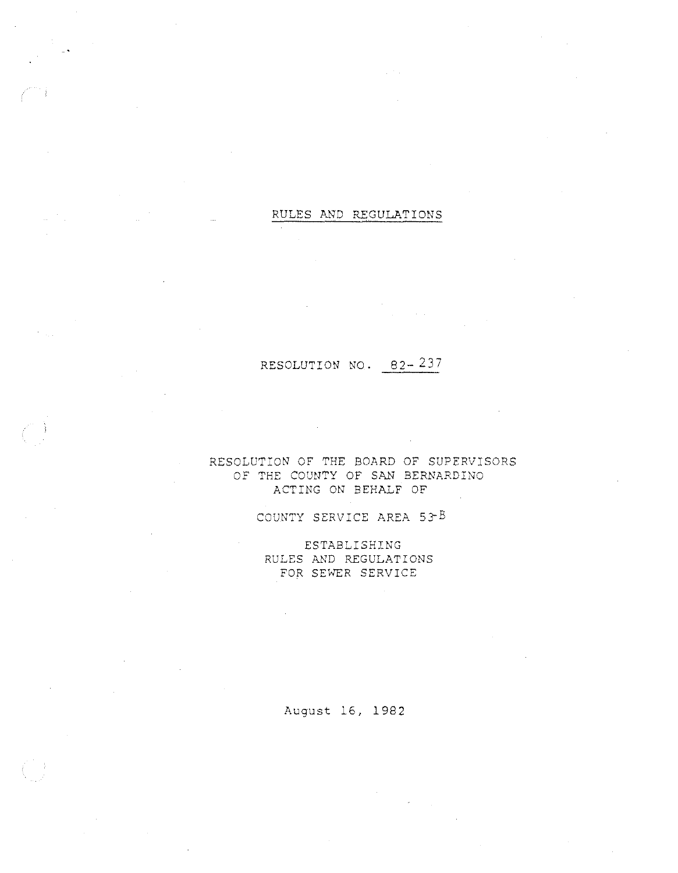#### RULES AND REGULATIONS

# RESOLUTION NO. 82- 237

#### RESOLUTION OF THE BOARD OF SUPERVISORS OF THE COUNTY OF SAN BERNARDINO ACTING ON BEHALF OF

### COUNTY SERVICE AREA 53-B

ESTABLISHING RULES AND REGULATIONS FOR SEWER SERVICE

August 16, 1982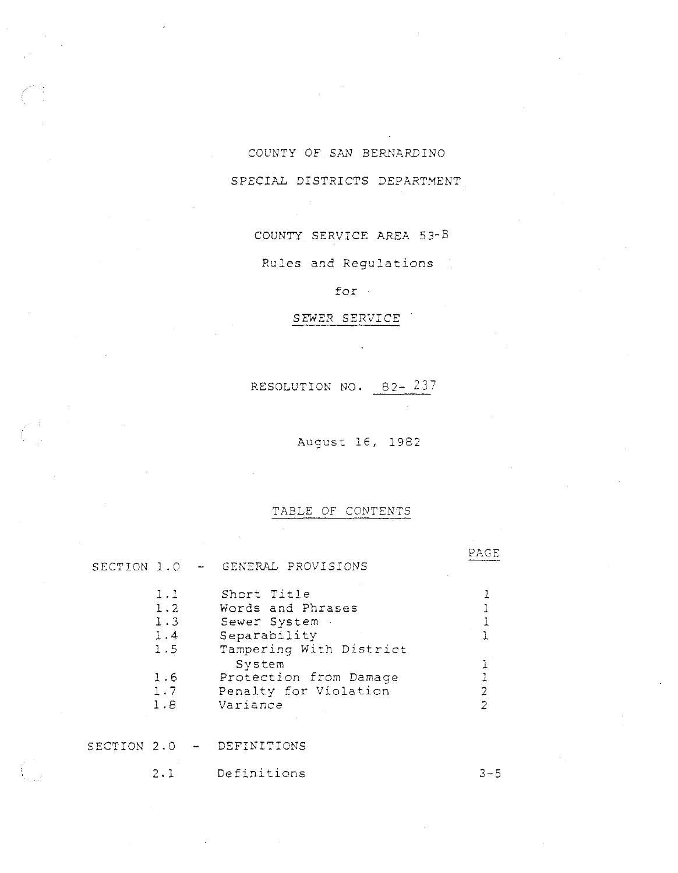# COUNTY OF *Sk'l* BERNARDINO SPECIAL DISTRICTS DEPARTMENT

COUNTY SERVICE AREA 53-B

Rules and Regulations

for

### SEWER SERVICE

RESOLUTION NO. 82- 237

August 16, 1982

PAGE

#### TABLE OF CONTENTS

SECTION l.O **GENERAL** PROVISIONS

| 1.1<br>$\mathbf{L} \cdot \mathbf{2}$<br>1.3 | Short Title<br>Words and Phrases<br>Sewer System |  |
|---------------------------------------------|--------------------------------------------------|--|
| 1.4<br>1.5                                  | Separability<br>Tampering With District          |  |
|                                             | System                                           |  |
| 1.6                                         | Protection from Damage                           |  |
| 1.7                                         | Penalty for Violation                            |  |
| 1.8                                         | Variance                                         |  |

SECTION 2.0 - DEFINITIONS

2.1 Definitions 3-5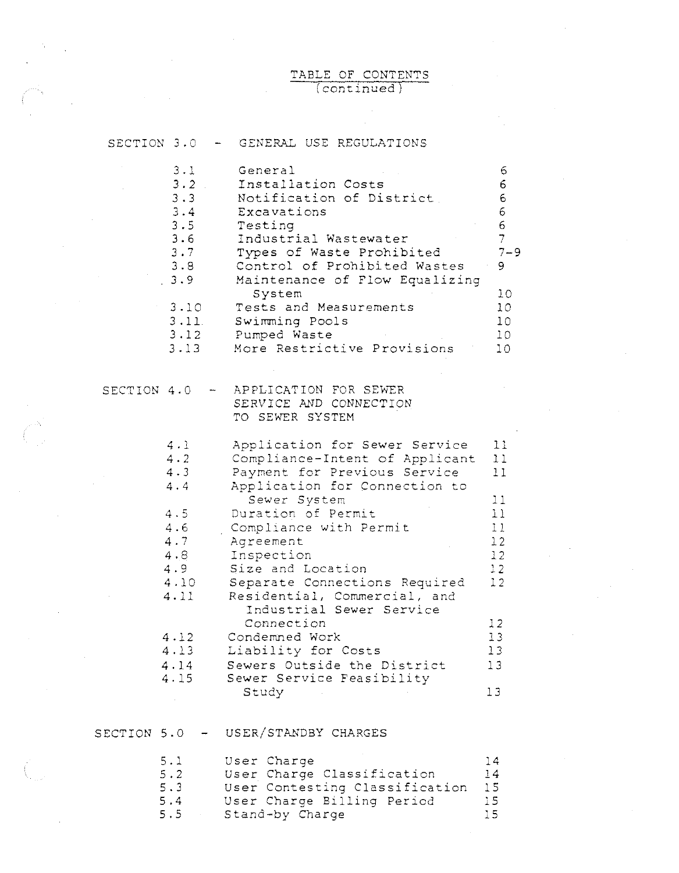#### TABLE OF CONTENTS (continued)

 $\frac{1}{2}$ 

 $\hat{\boldsymbol{\theta}}$ 

| SECTION 3.0                                                                                                             | GENERAL USE REGULATIONS                                                                                                                                                                                                                                                                                                                                                                                                                                          |                                                                                                                  |
|-------------------------------------------------------------------------------------------------------------------------|------------------------------------------------------------------------------------------------------------------------------------------------------------------------------------------------------------------------------------------------------------------------------------------------------------------------------------------------------------------------------------------------------------------------------------------------------------------|------------------------------------------------------------------------------------------------------------------|
| 3.1<br>$3 \cdot 2$<br>3.3<br>3.4<br>3.5<br>3.6<br>3.7<br>3.8<br>3.9<br>3.10<br>3.11<br>3.12<br>3.13                     | General<br>Installation Costs<br>Notification of District.<br>Excavations<br>Testing<br>Industrial Wastewater<br>Types of Waste Prohibited<br>Control of Prohibited Wastes<br>Maintenance of Flow Equalizing<br>System<br>Tests and Measurements<br>Swimming Pools<br>Pumped Waste<br>More Restrictive Provisions                                                                                                                                                | 6<br>6.<br>6<br>6<br>6<br>$\overline{7}$<br>$7 - 9$<br>9<br>10<br>10<br>10<br>10 <sup>°</sup><br>10 <sup>°</sup> |
| SECTION 4.0                                                                                                             | APPLICATION FOR SEWER<br>SERVICE AND CONNECTION<br>TO SEWER SYSTEM                                                                                                                                                                                                                                                                                                                                                                                               |                                                                                                                  |
| 4.1<br>$4 \cdot 2$<br>4.3<br>4.4<br>$4.5 -$<br>4.6<br>4.7<br>4.8<br>4.9<br>4.10<br>4.11<br>4.12<br>4.13<br>4.14<br>4.15 | Application for Sewer Service<br>Compliance-Intent of Applicant<br>Payment for Previous Service<br>Application for Connection to<br>Sewer System<br>Duration of Permit<br>Compliance with Permit<br>Agreement<br>Inspection<br>Size and Location<br>Separate Connections Required<br>Residential, Commercial, and<br>Industrial Sewer Service<br>Connection<br>Condemned Work<br>Liability for Costs<br>Sewers Outside the District<br>Sewer Service Feasibility | 11<br>11<br>11<br>11<br>11<br>11<br>12<br>12<br>12<br>12<br>12<br>13<br>13<br>13                                 |
| SECTION 5.0                                                                                                             | Study<br>USER/STANDBY CHARGES                                                                                                                                                                                                                                                                                                                                                                                                                                    | 13                                                                                                               |
| 5.1<br>$5 \cdot 2$<br>$5.3 -$<br>5.4<br>5.5                                                                             | User Charge<br>User Charge Classification<br>User Contesting Classification<br>User Charge Billing Period<br>Stand-by Charge                                                                                                                                                                                                                                                                                                                                     | 14<br>14<br>15<br>15<br>15                                                                                       |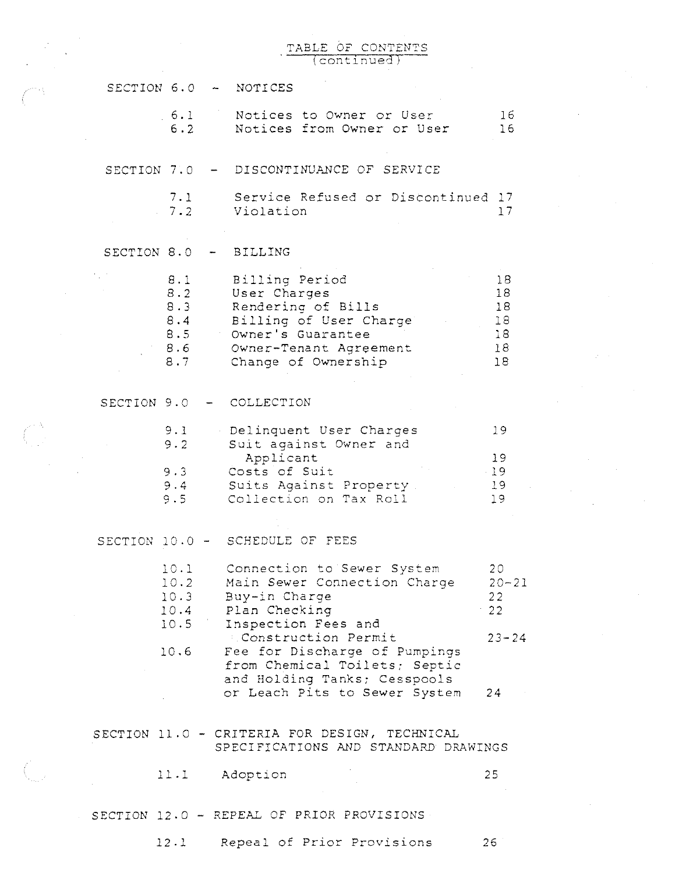#### TABLE OF CONTENTS (cont~nued)

 $\mathcal{A}^{\mathcal{A}}$ 

|             |                                               | SECTION 6.0 - NOTICES                                                                                                                                                                                                  |                                          |
|-------------|-----------------------------------------------|------------------------------------------------------------------------------------------------------------------------------------------------------------------------------------------------------------------------|------------------------------------------|
|             | 6.1<br>6.2                                    | Notices to Owner or User<br>Notices from Owner or User                                                                                                                                                                 | 16<br>16                                 |
| SECTION 7.0 |                                               | DISCONTINUANCE OF SERVICE                                                                                                                                                                                              |                                          |
|             | 7.1<br>$7.2 -$                                | Service Refused or Discontinued 17<br>Violation                                                                                                                                                                        | 17                                       |
| SECTION 8.0 |                                               | <b>BILLING</b>                                                                                                                                                                                                         |                                          |
|             | 8.1<br>8.2<br>8.3<br>8.4<br>8.5<br>8.6<br>8.7 | Billing Period<br>User Charges<br>Rendering of Bills<br>Billing of User Charge<br>Owner's Guarantee<br>Owner-Tenant Agreement<br>Change of Ownership                                                                   | 18<br>18<br>18<br>18<br>18<br>18<br>18   |
| SECTION 9.0 |                                               | COLLECTION                                                                                                                                                                                                             |                                          |
|             | 9.1<br>9.2<br>9.3<br>9.5                      | Delinquent User Charges<br>Suit against Owner and<br>Applicant<br>Costs of Suit<br>9.4 Suits Against Property.<br>Collection on Tax Roll                                                                               | 19<br>19<br>$-19$<br>19<br>19            |
|             |                                               | SECTION 10.0 - SCHEDULE OF FEES                                                                                                                                                                                        |                                          |
|             | 10.1<br>10.2<br>10.3<br>10.6                  | Connection to Sewer System<br>Main Sewer Connection Charge<br>Buy-in Charge<br>10.4 Plan Checking<br>10.5 Inspection Fees and<br>Construction Permit<br>Fee for Discharge of Pumpings<br>from Chemical Toilets; Septic | 20<br>$20 - 21$<br>22<br>22<br>$23 - 24$ |
|             |                                               | and Holding Tanks; Cesspools<br>or Leach Pits to Sewer System                                                                                                                                                          | 24                                       |
|             |                                               | SECTION 11.0 - CRITERIA FOR DESIGN, TECHNICAL<br>SPECIFICATIONS AND STANDARD DRAWINGS                                                                                                                                  |                                          |
|             |                                               | 11.1 Adoption                                                                                                                                                                                                          | 25                                       |
|             |                                               | SECTION 12.0 - REPEAL OF PRIOR PROVISIONS                                                                                                                                                                              |                                          |

12.1 Repeal of Prior Provisions 26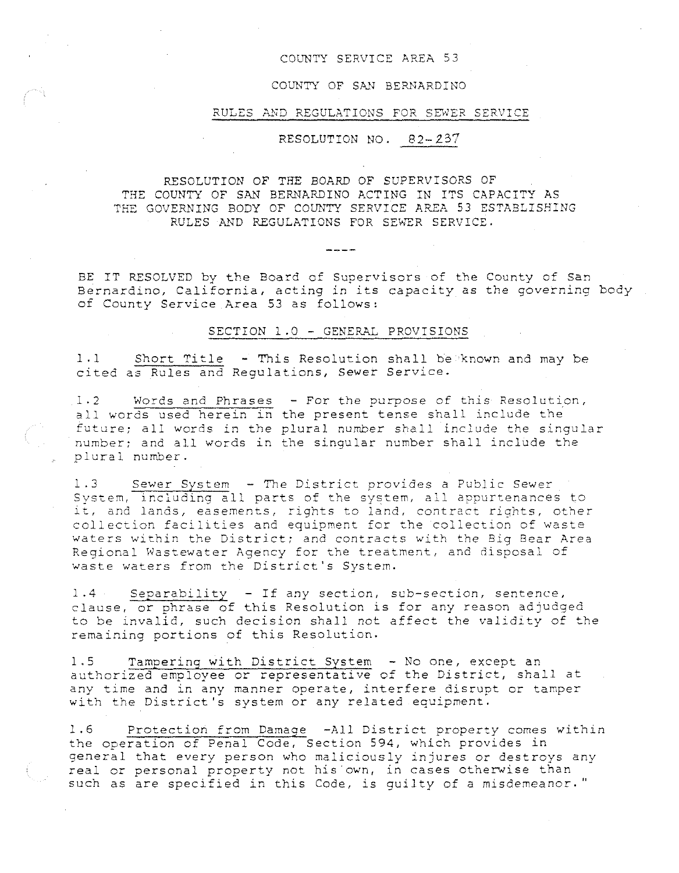#### COUNTY SERVICE AREA 53

#### COUNTY OF SAN BERNARDINO

#### RULES AND REGULATIONS FOR SEWER SERVICE

RESOLUTION NO. 82-237

#### RESOLUTION OF THE BOARD OF SUPERVISORS OF THE COUNTY OF SAN BERNARDINO ACTING IN ITS CAPACITY AS THE GOVERNING BODY OF COUNTY SERVICE AREA 53 ESTABLISHING RULES AND REGULATIONS FOR SEWER SERVICE.

 $\frac{1}{2}$ 

BE IT RESOLVED by the Board of Supervisors of the County of San Bernardino, California, acting in its capacity as the governing body of County *Service* Area 53 as follows:

#### SECTION 1.0- GENERAL PROVISIONS

1 .1 Short Title - This Resolution shall be known and may be cited as Rules and Regulations, Sewer Service.

1.2 Words and Phrases all words used herein in future; all words in the plural number shall include the singular number; and all words in the singular number shall include the plural number. - **For the purpose of this Resolution,**  the present tense shall include the

1.3 Sewer System - The District provides a Public Sewer System, including all parts of the system, all appurtenances to it, and lands, easements, rights to land, contract rights, other collection facilities and equipment for the collection of waste waters within the District; and contracts with the Big Bear Area Regional Wastewater Agency for the treatment, and disposal of waste waters from the District's System.

1.4 Separability -If any section, sub-section, sentence, clause, or phrase of this Resolution is for any reason adjudged to be invalid, such decision shall not affect the validity of the remaining portions of this Resolution.

1.5 Tampering with District System - No one, except an authorized employee or representative of the District, shall at any time and in any manner operate, interfere disrupt or tamper with the District's system or any related equipment.

1.6 • Protection from Damage -All District property comes within the operation of Penal Code, Section 594, which provides in general that *every* person who maliciously injures or destroys any real or personal property not his own, in cases otherwise than such as are specified in this Code, is guilty of a misdemeanor."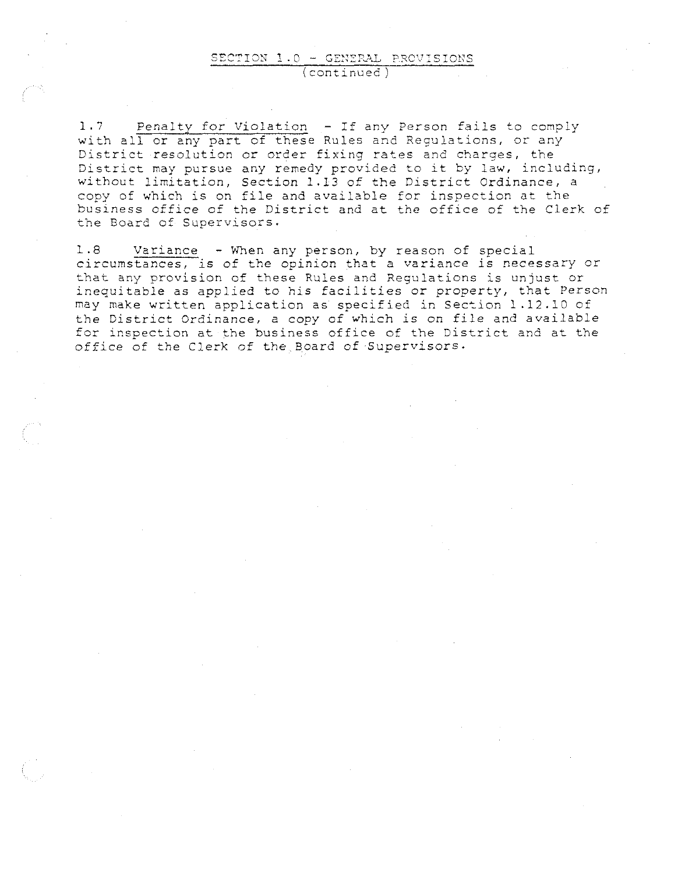#### SECTION 1.0 - GENERAL PROVISIONS (continued)

1.7 Penalty for Violation - If any Person fails to comply with all or any part of these Rules and Regulations, or any **District resolution or order fixing rates and charges, the**  District may pursue any remedy provided to it by law, including, without limitation, Section 1.13 of the District Ordinance, a copy of which is on file and available for inspection at the business office of the District and at the office of the Clerk of the Board of Supervisors.

1.8 Variance - When any person, by reason of special circumstances, is of the opinion that a variance is necessary or that any provision of these Rules and Regulations is unjust or inequitable as applied to his facilities or property, that Person may make written application as specified in Section 1.12.10 of the District Ordinance, a copy of which is on file and available for inspection at the business office of the District and at the office of the Clerk of the.Board of Supervisors.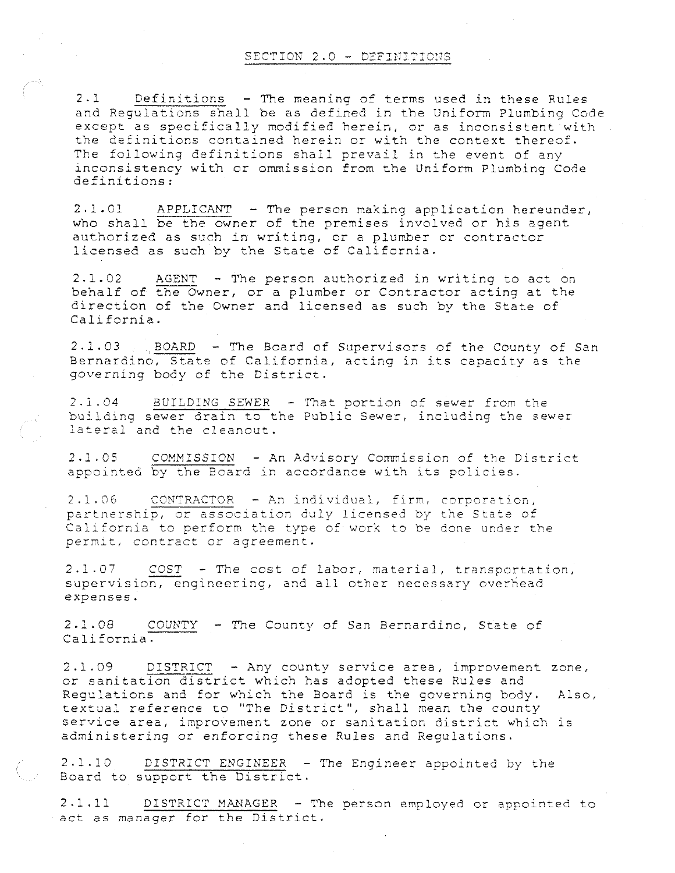#### SECTION 2.0 - DEFINITIONS

2.1 Definitions - The meaning of terms used in these Rules and Regulations shall be as defined in the Uniform Plumbing Code except as specifically modified herein, or as inconsistent with the definitions contained herein or with the context thereof. The following definitions shall prevail in the event of any inconsistency with or ommission from the Uniform Plumbing Code definitions:

2.1.01 APPLICANT -The person making application hereunder, who shall be the owner of the premises involved or his agent authorized as such in writing, or a plumber or contractor licensed as such by the State of California.

2.1.02 AGENT - The person authorized in writing to act on behalf of the Owner, or a plumber or Contractor acting at the direction of the Owner and licensed as such by the State of California.

 $2.1.03$  BOARD - The Board of Supervisors of the County of San Bernardino, State of California, acting in its capacity as the governing body of the District.

2.1.04 BUILDING SEWER -That portion of sewer from the building sewer drain to the Public Sewer, including the sewer lateral and the cleanout.

2.1.05 COMMISSION -An Advisory Commission of the District appointed by the Board in accordance with its policies.

2.1.06 CONTRACTOR - An individual, firm, corporation, partnership, or association duly licensed by the State of California to perform the type of work to be done under the permit, contract or agreement.

2.1.07 COST -The cost of labor, material, transportation, supervision, engineering, and all other necessary overhead expenses.

<sup>2</sup>.l. <sup>08</sup>*COUNTY* - The County of San Bernardino, State of California.

2.1.09 DISTRICT -Any county service area, improvement zone, or sanitation district which has adopted these Rules and Regulations and for which the Board is the governing body. Also, textual reference to "The District", shall mean the county service area, improvement zone or sanitation district which is administering or enforcing these Rules and Regulations.

2.1.10 DISTRICT ENGINEER - The Engineer appointed by the Board to support the District.

2. 1. 11 DISTRICT MANAGER - The person employed or appointed to act as manager for the District.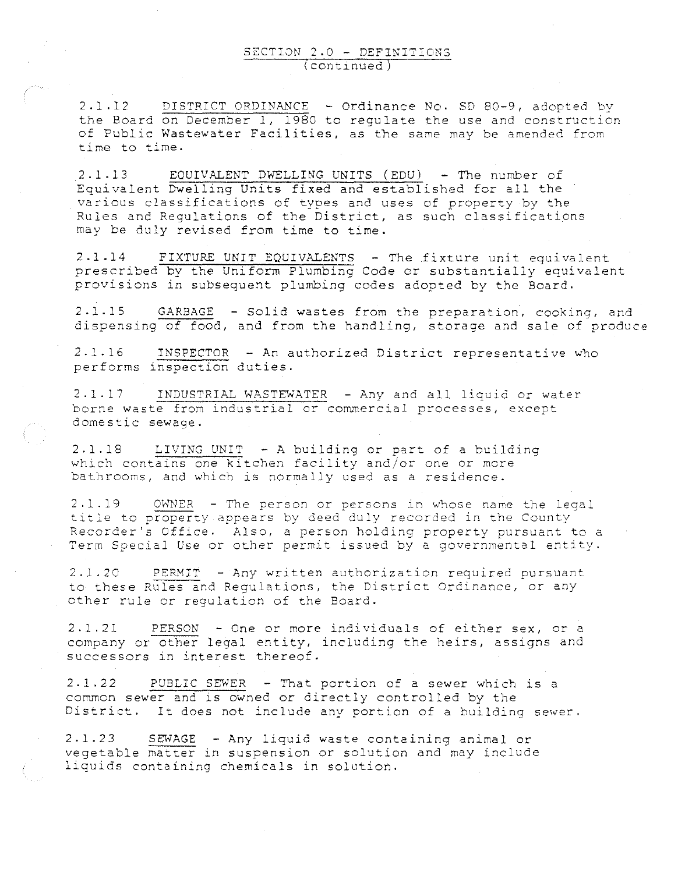2.1.12 DISTRICT ORDINANCE - Ordinance No. SD 80-9, adopted by the Board on December 1, 1980 to regulate the use and construction of Public Wastewater Facilities, as the same may be amended from **time to time.** 

2.1.13 EQUIVALENT DWELLING UNITS (EDU) - The number of Equivalent Dwelling Units fixed and established for all the various classifications of types and uses of property by the Rules and Regulations of the District, as such classifications may be duly revised from time to time.

2.1.14 FIXTURE UNIT EQUIVALENTS - The fixture unit equivalent prescribed by the Uniform Plumbing Code or substantially equivalent provisions in subsequent plumbing codes adopted by the Board.

2.1.15 GARBAGE - Solid wastes from the preparation, cooking, and dispensing of food, and from the handling, storage and sale of produce

2.1.16 INSPECTOR - An authorized District representative who performs inspection duties.

2.1.17 INDUSTRIAL WASTEWATER - Any and all liquid or water borne waste from industrial or commercial processes, except domestic sewage.

2.1.18 LIVING UNIT - A building or part of a building which contains one kitchen facility and/or one or more **bathrooms, and which is normally used as a residence.** 

 $2.1.19$  OWNER - The person or persons in whose name the legal title to property appears by deed duly recorded in the County **Recorder <sup>1</sup> s Office. Also, a person holding property pursuant to a Term Special Use or other permit issued by a governmental entity.** 

2.1.20 PERMIT - Any written authorization required pursuant to these Rules and Regulations, the District Ordinance, *or* any other rule or regulation of the Board.

2.1.21 PERSON -One *or* more individuals of either sex, or a company *or* other legal entity, including the heirs, assigns and **successors in interest thereof.** 

2.1.22 PUBLIC SEWER - That portion of a sewer which is a common sewer and is owned or directly controlled by the District. It does not include any portion of a building sewer.

2.1.23 SEWAGE -Any liquid waste containing animal *or*  vegetable matter in suspension *or* solution and may include **liquids containing chemicals in solution.**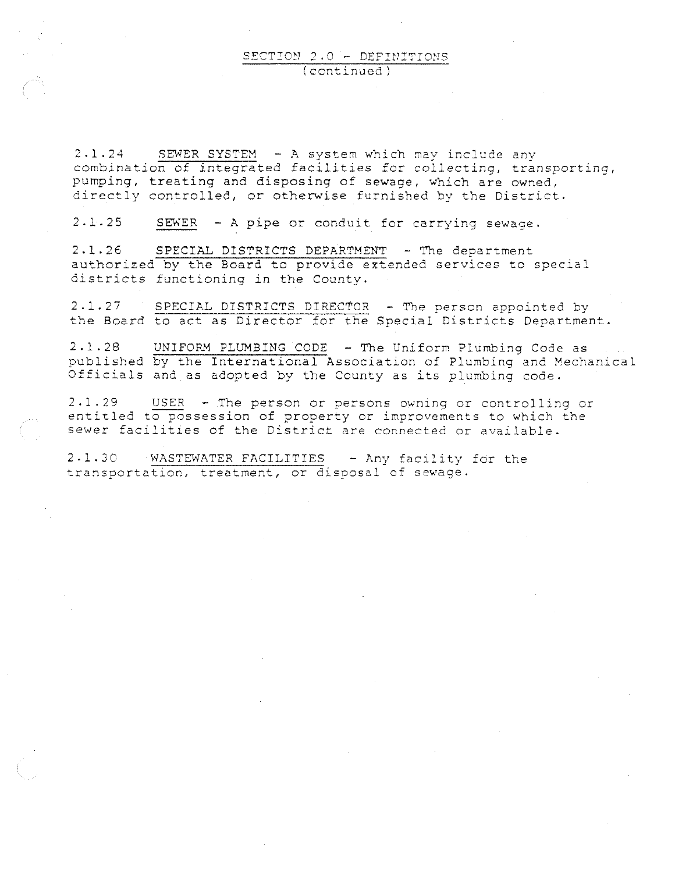#### SECTION 2.0 - DEFINITIONS (continued)

2.1.24 SEWER SYSTEM - A system which may include any combination of integrated facilities for collecting, transporting, pumping, treating and disposing of sewage, which are owned, directly controlled, or otherwise furnished by the District.

2.1.25 SEWER - A pipe or conduit for carrying sewage.

2.1.26 SPECIAL DISTRICTS DEPARTMENT -The department authorized by the Board to provide extended services to special districts functioning in the County.

2.1.27 SPECIAL DISTRICTS DIRECTOR - The person appointed by the Board to act as Director for the Special Districts Department.

2.1.28 UNIFORM PLUMBING CODE - The Uniform Plumbing Code as published by the International Association of Plumbing and Mechanical Officials and as adopted by the County as its plumbing code.

2.1.29 USER - The person or persons owning or controlling or entitled to possession of property or improvements to which the sewer facilities of the District are connected or available.

2.1.30 WASTEWATER FACILITIES -Any facility for the **transportation, treatment, or disposal of sewage.**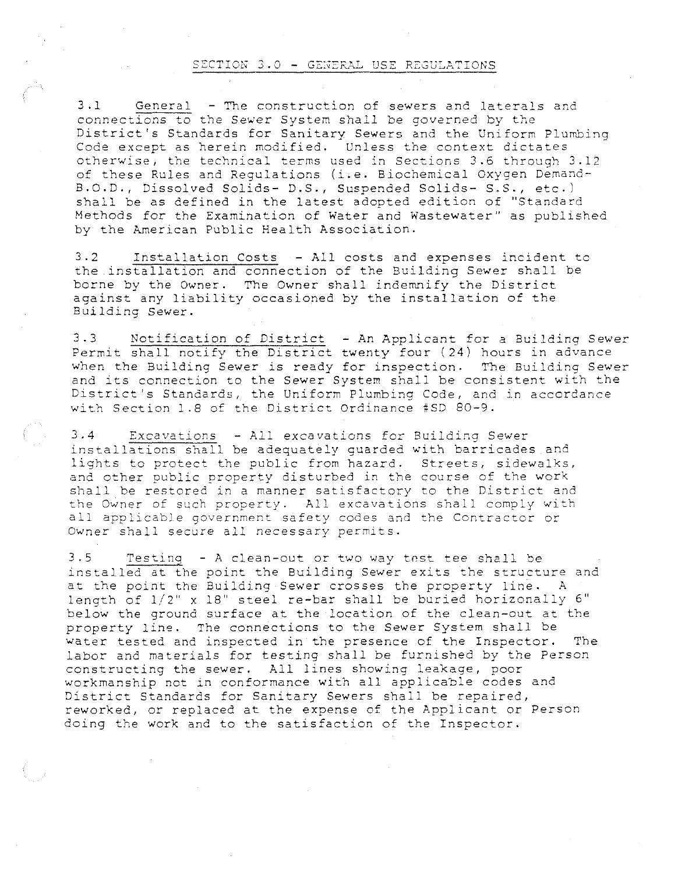#### SECTION  $3.0$  - GENERAL USE REGULATIONS

3.1 General - The construction of sewers and laterals and **connections to the Sewer System shall be governed by the**  District's Standards for Sanitary Sewers and the Uniform Plumbing Code except as herein modified. Unless the context dictates otherwise, the technical terms used in Sections 3.6 through 3.12 of these Rules and Regulations (i.e. Biochemical Oxygen Demand-B.O.D., Dissolved Solids- D.S., Suspended Solids- S.S., etc.) shall be as defined in the latest adopted edition of ''Standard Methods for the Examination of Water and Wastewater" as published by the American Public Health Association.

3.2 Installation Costs - All costs and expenses incident to the installation and connection of the Building Sewer shall be borne by the Owner. The Owner shall indemnify the District against any liability occasioned by the installation of the Building Sewer.

3.3 Notification of District -An Applicant for a Building Sewer Permit shall notify the District twenty four (24) hours in advance when the Building Sewer is ready for inspection. The Building Sewer and its connection to the Sewer System shall be consistent with the **District <sup>1</sup> S Standards <sup>1</sup>the Uniform Plumbing Code, and in accordance**  with Section 1.8 of the District Ordinance #SD 80-9.

3.4 Excavations -All excavations for Building Sewer installations shall be adequately guarded with barricades and lights to protect the public from hazard. Streets, sidewalks, and other public property disturbed in the course of the work shall be restored in a manner satisfactory to the District and **the Owner of such property. All excavations shall comply with all applicab]\_e government safety codes and the Contractor or Owner shall secure all necessary permits.** 

3.5 Testinq -A clean-out or two way tnst tee shall be installed at the point the Building Sewer exits the structure and at the point the Building Sewer crosses the property line. A length of  $1/2$ " x 18" steel re-bar shall be buried horizonally 6" below the ground surface at the location of the clean-out at the property line. The connections to the Sewer System shall be water tested and inspected in the presence of the Inspector. The labor and materials for testing shall be furnished by the Person constructing the sewer. All lines showing leakage, poor workmanship not in conformance with all applicable codes and District Standards for Sanitary Sewers shall be repaired, reworked, or replaced at the expense of the Applicant or Person doing the work and to the satisfaction of the Inspector.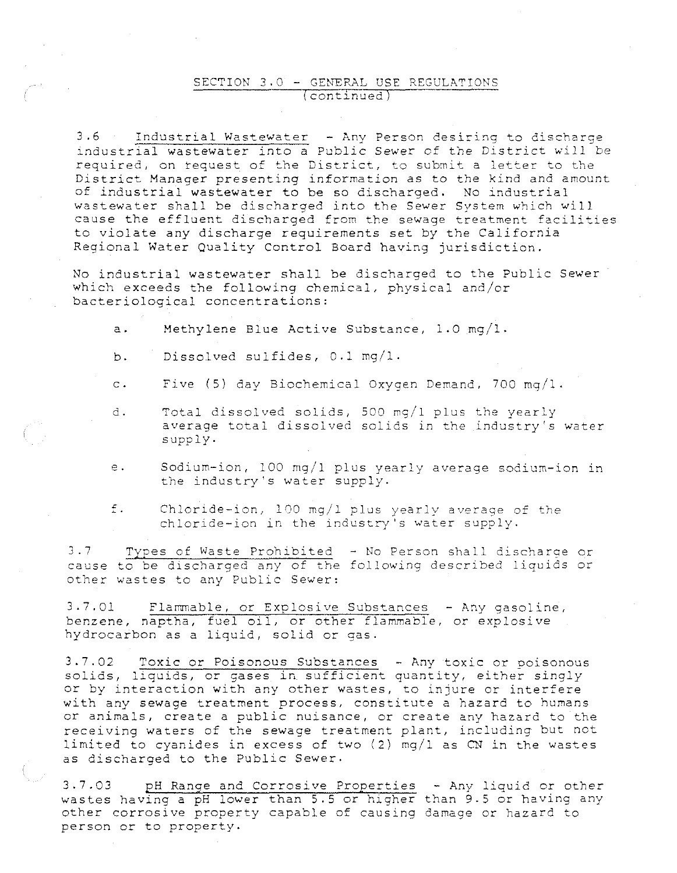#### SECTION  $3.0 -$  GENERAL USE REGULATIONS (continued

3.6 Industrial Wastewater - Any Person desiring to discharge industrial wastewater into a Public Sewer of the District will be required, on request of the District, to submit a letter to the District Manager presenting information as to the kind and amount of industrial wastewater to be so discharged. No industrial wastewater shall be discharged into the Sewer System which will cause the effluent discharged from the sewage treatment facilities to violate any discharge requirements set by the California Regional Water Quality Control Board having jurisdiction.

No industrial wastewater shall be discharged to the Public Sewer which exceeds the following chemical, physical and/or bacteriological concentrations:

a. Methylene Blue Active Substance, 1.0 mg/1.

- b. Dissolved sulfides, 0.1 mg/1.
- c. Five (5) day Biochemical Oxygen Demand, 700 mg/1.
- d. Total dissolved solids, 500 mg/1 plus the yearly average total dissolved solids in the industry's water supply.
- e. Sodium-ion, 100 mq/1 plus yearly average sodium-ion in the industry's water supply.

f. Chloride-ion, 100 mg/1 plus yearly average of the chloride-ion in the industry's water supply.

3.7 Types of Waste Prohibited - No Person shall discharge or cause to be dlscharged any of the following described liquids or other wastes to any Public Sewer:

3.7.01 Flammable, or Explosive Substances - Any gasoline, benzene, naptha, fuel oil, or other flammable, or explosive hydrocarbon as a liquid, solid or gas.

3.7.02 Toxic or Poisonous Substances -Any toxic or poisonous solids, liquids, or gases in. sufficient quantity, either singly or by interaction with any other wastes, to injure or interfere with any sewage treatment process, constitute a hazard to humans or animals, create a public nuisance, or create any hazard to the receiving waters of the sewage treatment plant, including but not limited to cyanides in excess of two (2) mg/1 as CN in the wastes as discharged to the Public Sewer.

3.7.03 pH Range and Corrosive Properties - Any liquid or other wastes having a pH lower than 5.5 or higher than 9.5 or having any other corrosive property capable of causing damage or hazard to person or to property.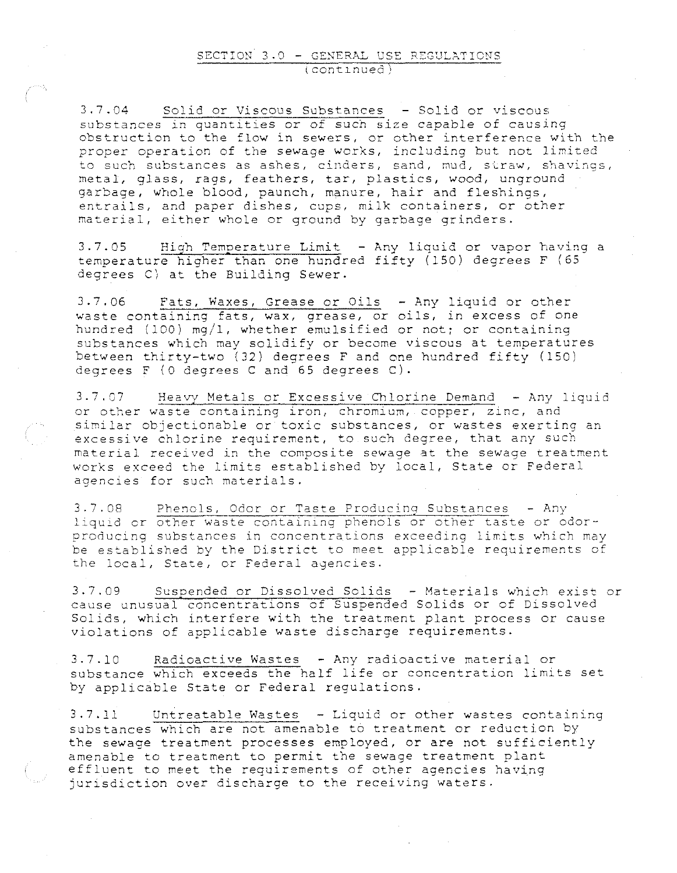3.7.04 Solid or Viscous Substances - Solid or viscous substances in quantities or of such size capable of causing obstruction to the flow in sewers, or other interference with the proper operation of the sewage works, including but not limited to such substances as ashes, cinders, sand, mud, straw, shavings, metal, glass, rags, feathers, tar, plastics, wood, unground garbage, whole blood, paunch, manure, hair and fleshings, entrails, and paper dishes, cups, milk containers, or other material, either whole or ground by garbage grinders.

3.7.05 High Temperature Limit - Any liquid or vapor having a temperature higher than one hundred fifty (150) degrees F (65 degrees C) at the Building Sewer.

3.7.06 Fats, Waxes, Grease or Oils -Any liquid or other waste containing fats, wax, grease, or oils, in excess of one hundred (100) mg/1, whether emulsified or not; or containing substances which may solidify or become viscous at temperatures between thirty-two (32) degrees F and one hundred fifty (150) degrees F (0 degrees C and 65 degrees C).

3.7.07 Heavy Metals or Excessive Chlorine Demand - Any liquid or other waste containing iron, chromium, copper, zinc, and similar objectionable or toxic substances, or wastes exerting an excessive chlorine requirement, to such degree, that any such material received in the composite sewage at the sewage treatment works exceed the limits established by local, State or Federal **agencies for swch materials.** 

3.7.08 Phenols, Odor or Taste Producinq Substances -Any **liquid cr other waste containing phenols or other taste or odor**producing substances in concentrations exceeding limits which may **be established by the Di.strict to meet applicable requirements of the local, State, or Federal ayencies.** 

3.7.09 Suspended or Dissolved Solids - Materials which exist or cause unusual concentratlons of Suspended Solids or of Dissolved Solids, which interfere with the treatment plant process or cause violations of applicable waste discharge requirements.

3.7.10 Radioactive Wastes -Any radioactive material or substance which exceeds the half life or concentration limits set by applicable State or Federal regulations.

3.7.11 Untreatable Wastes -Liquid or other wastes containing substances which are not amenable to treatment or reduction by the sewage treatment processes employed, or are not sufficiently amenable to treatment to permit the sewage treatment plant effluent to meet the requirements of other agencies having jurisdiction *over* discharge to the receiving waters.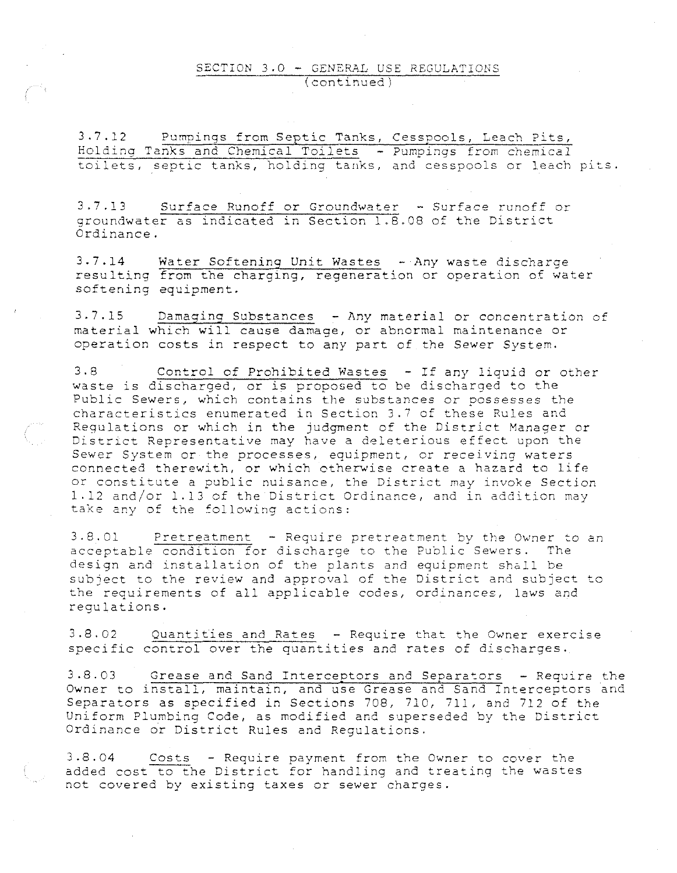#### SECTION 3.0 - GENERAL USE REGULATIONS  $(continued)$

3.7.12 Pumpings from Septic Tanks, Cesspools, Leach Pits, Holding Tanks and Chemical Toilets - Pumpings from chemical **toilets, septic tanks, holding tanks, and cesspools or leach pits.** 

3.7.13 Surface Runoff or Groundwater - Surface runoff or  $q$ roundwater as indicated in Section 1.8.08 of the District Ordinance.

3.7.14 Water Softening Unit Wastes - Any waste discharge resulting from the charging, regeneration *or* operation of water softening equipment.

3.7.15 Damaging Substances - Any material or concentration of material which will cause damage, *or* abnormal maintenance or operation costs in respect to any part of the Sewer System.

3.8 Control of Prohibited Wastes - If any liquid or other waste is discharged, *or* is proposed to be discharged to the Public Sewers, which contains the substances or possesses the characteristics enumerated in Section 3.7 of these Rules and Regulations or which in the judgment of the District Manager or **District Representative may have a deleterious effect upon the**  Sewer System or the processes, equipment, or receiving waters connected therewith, or which otherwise create a hazard to life **or constitute a public nuisance, the District may invoke Section**  1.12 and/or 1.13 of the District Ordinance, and in addition may take any of the following actions:

**3.8.01 Pretreatment - Require pretreatment by t}1e Owner to an acceptable condition for discharge to the Public Sewers. The**  design and installation of the plants and equipment shall be subject to the review and approval of the District and subject to the requirements of all applicable codes, ordinances, laws and regulations.

3.8.02 Quantities and Rates - Require that the Owner exercise specific control over the quantities and rates of discharges.

3.8.03 Grease and Sand Interceptors and Separators - Require the Owner to install, maintain, and use Grease and Sand Interceptors and Separators as specified in Sections 708, 710, 711, and 712 of the Uniform Plumbing Code, as modified and superseded by the District Ordinance or District Rules and Regulations.

3.8.04 Costs - Require payment from the Owner to cover the added cost to the District for handling and treating the wastes not covered by existing taxes or sewer charges.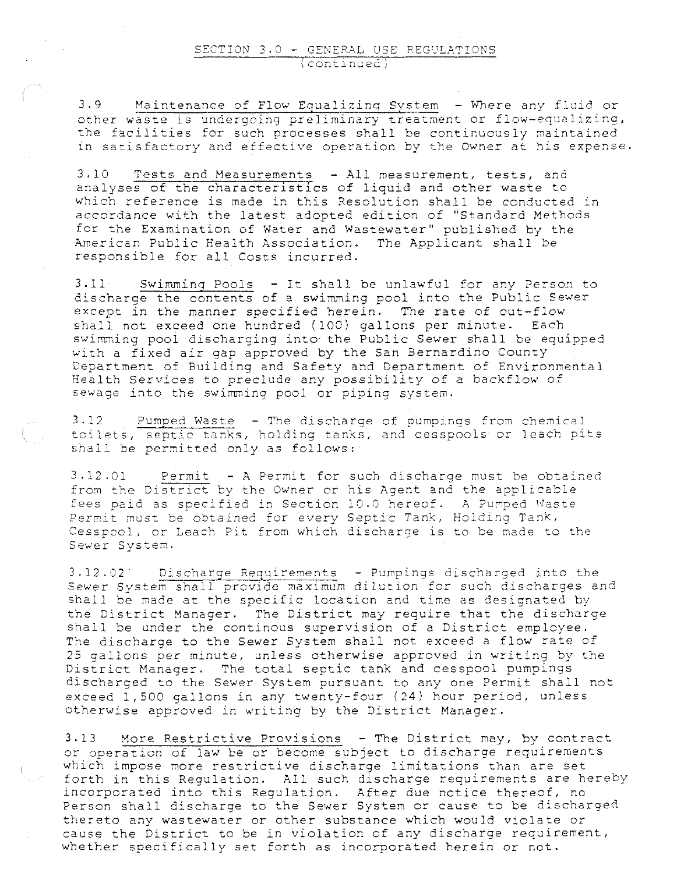3.9 Maintenance of Flow Equalizing System - Where any fluid or other waste is undergoing preliminary treatment or flow-equalizing, the facilities for such processes shall be continuously maintained **in satisfactory and effective operation by the Owner at his expense.** 

3.10 Tests and Measurements - All measurement, tests, and analyses of the characteristics of liquid and other waste to which reference is made in this Resolution shall be conducted in accordance with the latest adopted edition of ''Standard Methods for the Examination of Water and Wastewater" published by the American Public Health Association. The Applicant shall be responsible for all Costs incurred.

3.11 Swimming Pools - It shall be unlawful for any Person to discharge the contents of a swimming pool into the Public Sewer except in the manner specified herein. The rate of out-flow shall not exceed one hundred (100) gallons per minute. Each swimming pool discharging into the Public Sewer shall be equipped with a fixed air gap approved by the San Bernardino County Department of Building and Safety and Department of Environmental Health Services to preclude any possibility of a backflow of sewage into the swimming pool or piping system.

 $3.12$  Pumped Waste - The discharge of pumpings from chemical **toilets, septic tanks, holding tanks, and cesspools or leach pits shall be permitted only as follows;** 

 $3.12.01$  Permit - A Permit for such discharge must be obtained **from the District by the Owner or his Agent and the applicable**  fees paid as specified in Section 10.0 hereof. A Pumped Waste **Permit must be obtained for** *every* **Septic Tank, Holding Tank,**  Cesspool, or Leach Pit from which discharge is to be made to the **Sewer System.** 

3.12.02 Discharge Requirements - Pumpings discharged into the Sewer System shall provide maximum dilution for such discharges and shall be made at the specific location and time as designated by the District Manager. The District may require that the discharge shall be under the continous supervision of a District employee. The discharge to the Sewer System shall not exceed a flow rate of 25 gallons per minute, unless otherwise approved in writing by the District Manager. The total septic tank and cesspool pumpings discharged to the Sewer System pursuant to any one Permit shall not exceed 1, 500 gallons in any twenty-four ( 24) hour period, unless otherwise approved in writing by the District Manager.

3.13 More Restrictive Provisions -The District may, by contract or operation of law be or become subject to discharge requirements which impose more restrictive discharge limitations than are set forth in this Regulation. All such discharge requirements are hereby incorporated into this Regulation. After due notice thereof, no Person shall discharge to the Sewer System or cause to be discharged thereto any wastewater or other substance which would violate or cause the District to be in violation of any discharge requirement, whether specifically set forth as incorporated herein or not.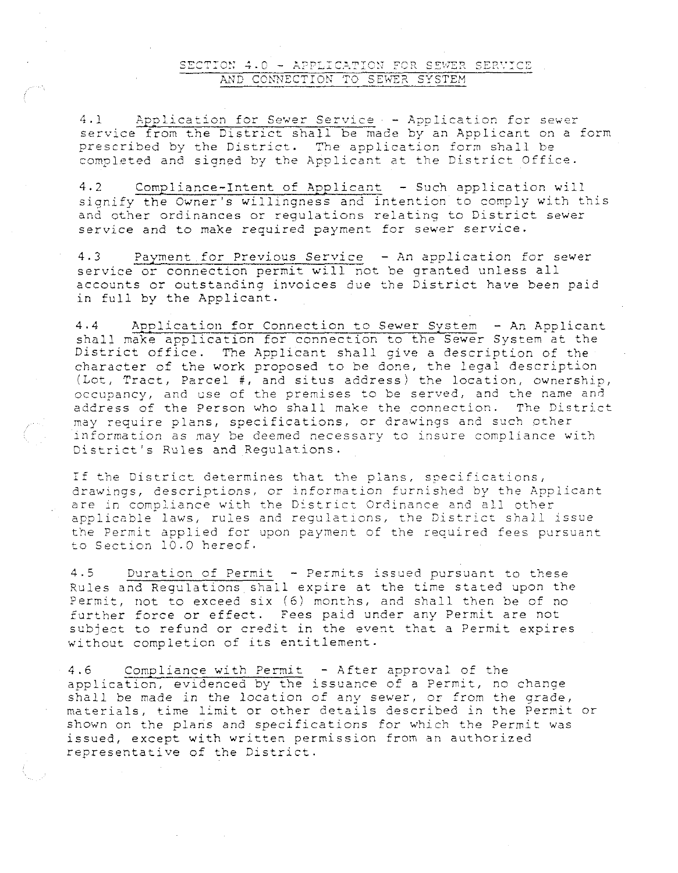#### SECTION 4.0 - APPLICATION FOR SEWER SERVICE AND CONNECTION TO SEWER SYSTEM

4.1 Application for Sewer Service - Application for sewer service from the District shall be made by an Applicant on a form prescribed by the District. The application form shall be completed and signed by the Applicant at the District Office.

4.2 Compliance-Intent of Applicant - Such application will signify the Owner's willingness and intention to comply with this and other ordinances or regulations relating to District sewer service and to make required payment for sewer service.

4.3 Payment for Previous *Service* - An application for sewer service or connection permit will not be granted unless all accounts or outstanding invoices due the District have been paid in full by the Applicant.

4.4 Application for Connection to Sewer System -An Applicant shall make application for connection to the Sewer System at the District office. The Applicant shall give a description of the character of the work proposed to be done, the legal description (Lot, Tract, Parcel #, and situs address) the location, ownership, occupancy, and use of the premises to be served, and the name and address of the Person who shall make the connection. The District may require plans, specifications, or drawings and such other information as may be deemed necessary to insure compliance with District's Rules and Regulations.

If the District determines that the plans, specifications, drawings, descriptions, or information furnished by the Applicant are in compliance with the District Ordinance and all other applicable laws, rules and regulations, the District shall issue the Permit applied for upon payment of the required fees pursuant to Section 10.0 hereof.

4.5 Duration of Permit - Permits issued pursuant to these Rules and Regulations shall expire at the time stated upon the Permit, not to exceed six (6) months, and shall then be of no further force or effect. Fees paid under any Permit are not subject to refund *or* credit in the event that a Permit expires without completion of its entitlement.

4.6 Compliance with Permit - After approval of the application, evidenced by the issuance of a Permit, no change shall be made in the location of any sewer, or from the grade, materials, time limit or other details described in the Permit or shown on the plans and specifications for which the Permit was issued, except with written permission from an authorized representative of the District.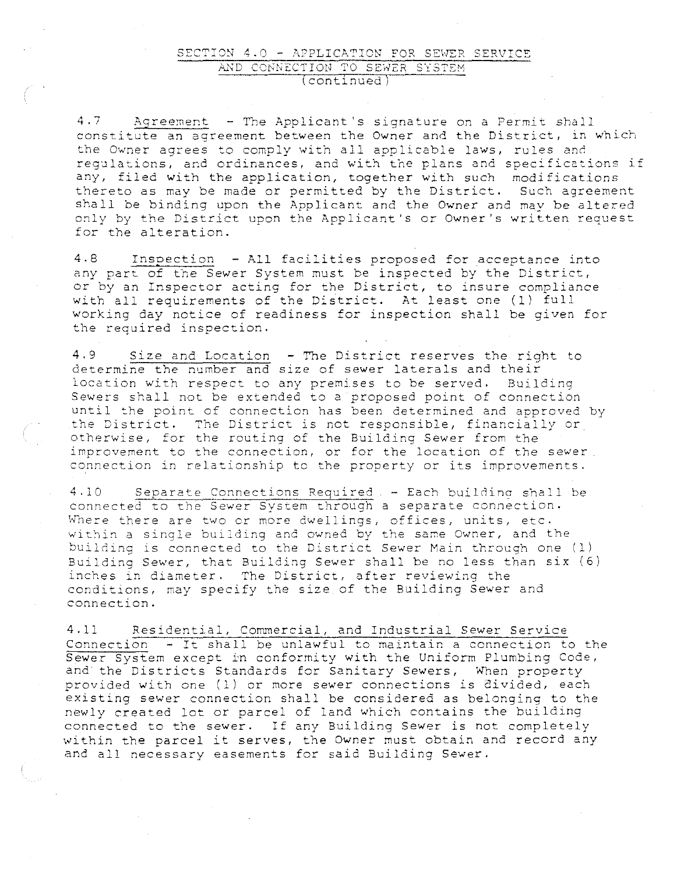#### SECTION 4.0 - APPLICATION FOR SEWER SERVICE AND CONNECTION TO SEWER SYSTEM (contlnued

 $4.7$  Agreement - The Applicant's signature on a Permit shall constitute an agreement between the Owner and the District, in which **the Owner agrees to comply with all applicable laws, rules and**  regulations, and ordinances, and with the plans and specifications if any, filed with the application, together with such modifications thereto as may be made or permitted by the District. Such agreement shall be binding upon the Applicant and the Owner and may be altered only by the District upon the Applicant's or Owner's written request for the alteration.

4.8 Inspection - All facilities proposed for acceptance into any part of the Sewer System must be inspected by the District, or by an Inspector acting for the District, to insure compliance with all requirements of the District. At least one (1) full working day notice of readiness for inspection shall be given for the required inspection.

4.9 Size and Location - The District reserves the right to **determine the number and**  size of sewer laterals and their location with respect to any premises to be served. Building Sewers shall not be extended to a proposed point of connection until the point of connection has been determined and approved by the District. The District is not responsible, financially *or*  otherwise, for the routing of the Building Sewer from the **improvement to the connection, or for the location of the sewer**  connection in relationship to the property or its improvements.

4.10 Separate Connections Required - Each building shall be **connected to** the **Sewer System through a separate connection.**  Where there are two or more dwellings, offices, units, etc. within a single building and owned by the same Owner, and the building is connected to the District Sewer Main through one (1) Building Sewer, that Building Sewer shall be no less than  $\text{six } (6)$ inches in diameter. The District, after reviewing the conditions, may specify the size of the Building Sewer and connection.

4.11 Residential, Commercial, and Industrial Sewer Service Connection - It shall be unlawful to maintain a connection to the Sewer System except in conformity with the Uniform Plumbing Code, and the Districts Standards for Sanitary Sewers, 'When property provided with one (1) or more sewer connections is divided, each existing sewer connection shall be considered as belonging to the newly created lot or parcel of land which contains the building connected to the sewer. If any Building Sewer is not completely within the parcel it serves, the Owner must obtain and record any and all necessary easements for said Building Sewer.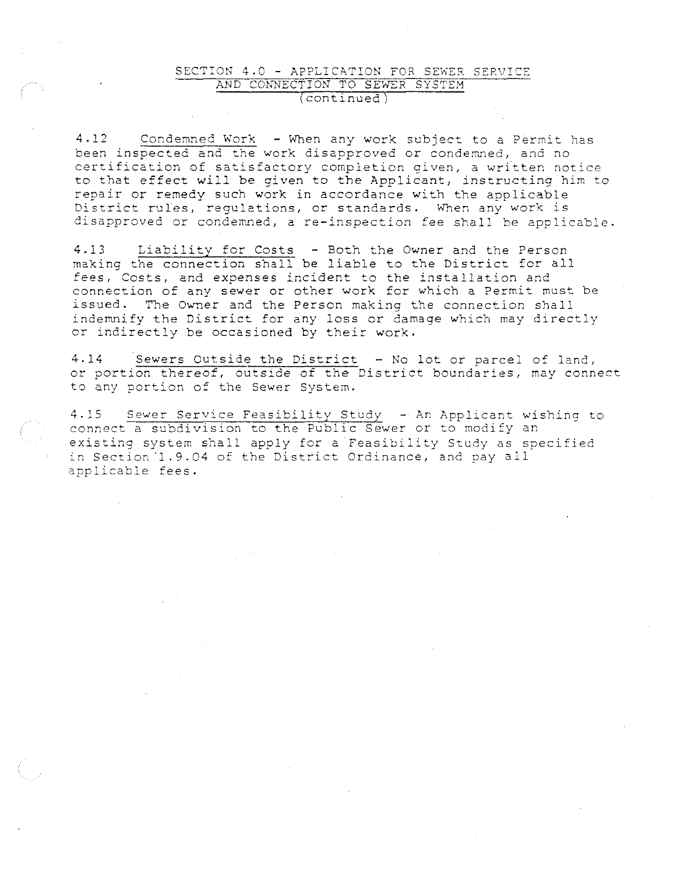#### SECTION 4.0 - APPLICATION FOR SEWER SERVICE AND CONNECTION TO SEWER SYSTEM (continued)

4.12 Condemned Work - When any work subject to a Permit has been inspected and the work disapproved or condemned, and no certification of satisfactory completion given, a written notice to that effect will be given to the Applicant, instructing him to repair or remedy such work in accordance with the applicable District rules, requlations, or standards. When any work is disapproved or condemned, a re-inspection fee shall be applicable.

4.13 Liability for Costs - Both the Owner and the Person making the connection shall be liable to the District for all fees, Costs, and expenses incident to the installation and connection of any sewer or other work for which a Permit must be issued. The Owner and the Person making the connection shall indemnify the District for any loss or damage which may directly or indirectly be occasioned by their work.

4.14 Sewers Outside the District - No lot or parcel of land, 4.14 Sewers Outside the District - No lot or parcel of land,<br>or portion thereof, outside of the District boundaries, may connect to any portion of the Sewer System.

4.15 Sewer Service Feasibility Study - An Applicant wishing to connect a subdivision to the Public Sewer or to modify an existing system shall apply for a Feasibility Study as specified in Section ·1.9.04 of the District Ordinance, and pay all applicable fees.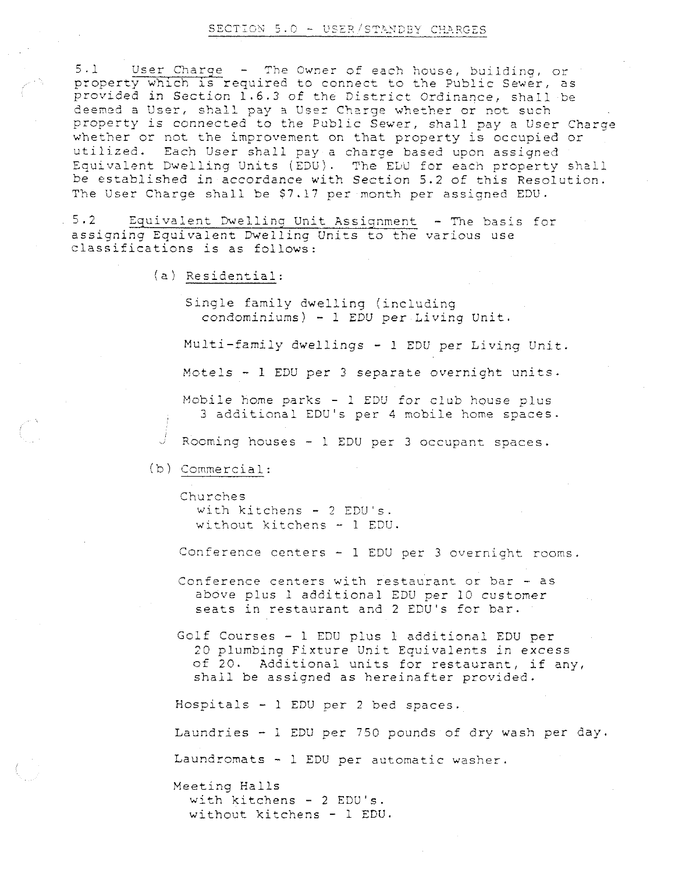#### SECTION 5.0 - USER/STANDBY CHARGES

5.1 User Charge - The Owner of each house, building, or property which is required to connect to the Public Sewer, as provided in Section 1.6.3 of the District Ordinance, shall be deemed a User, shall pay a User Charge whether or not such property is connected to the Public Sewer, shall pay a User Charge whether or not the improvement on that property is occupied or utilized. Each User shall pay a charge based upon assigned Equivalent Dwelling Units (EDU). The EDU for each property shall be established in accordance with Section 5.2 of this Resolution. The User Charge shall be \$7.17 per month per assigned EDU.

**5.2 Equivalent Dwelling Unit Assignment -The basis for**  assigning Equivalent Dwelling Units to the various use classifications is as follows:

(a) Residential:

Single family dwelling (including condominiums) - 1 EDU per Living Unit.

Multi-family dwellings - 1 EDU per Living Unit.

Motels - 1 EDU per 3 separate overnight units.

Mobile home parks - l EDU for club house plus 3 additional EDU's per 4 mobile home spaces.

Rooming houses - l EDU per 3 occupant spaces.

(b) Commercial:

**Churches**  with kitchens - 2 EDU's. wi~hout **kitchens - 1 EDU.** 

**Conference centers - l EDU per 3 overnight rooms.** 

Conference centers with restaurant or bar - as above plus 1 additional EDU per 10 customer seats in restaurant and 2 EDU's for bar.

Golf Courses - 1 EDU plus l additional EDU per 20 plumbing Fixture Unit Equivalents in excess of 20. Additional units for restaurant, if any, shall be assigned as hereinafter provided.

Hospitals - l EDU per 2 bed spaces.

Laundries - 1 EDU per 750 pounds of dry wash per day.

Laundromats - 1 EDU per automatic washer.

Meeting Halls with kitchens - 2 EDU's. without kitchens - 1 EDU.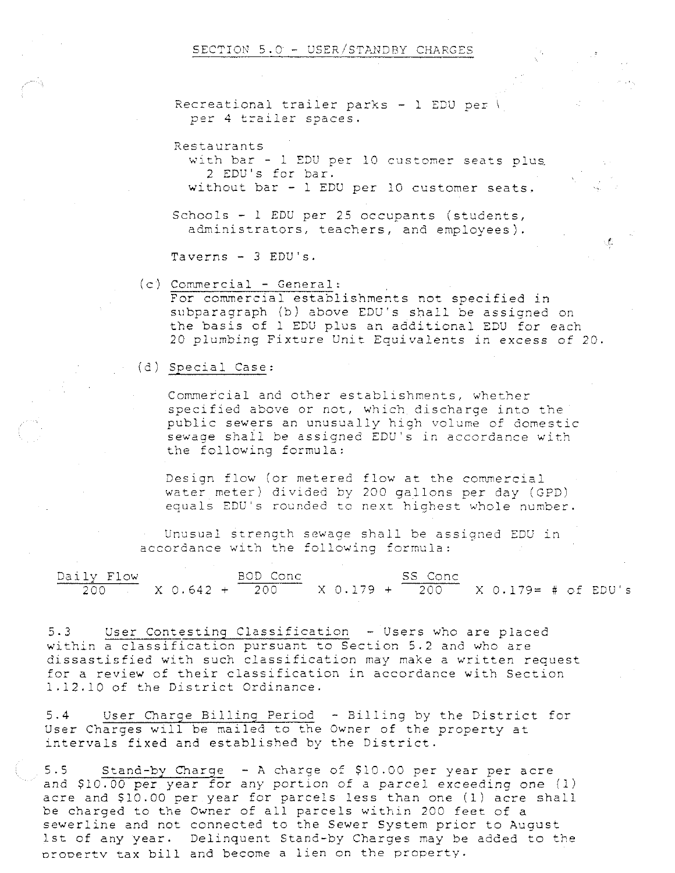#### SECTION  $5.0 -$  USER/STANDBY CHARGES

Recreational trailer parks - 1 EDU per \ per 4 trailer spaces.

Restaurants

with bar - 1 EDU per 10 customer seats plus 2 EDU's for bar. without bar - 1 EDU per 10 customer seats.

Schools - <sup>1</sup>EDU per 25 occupants (students, administrators, teachers, and employees).

Taverns  $-$  3 EDU's.

(c) Commercial- General:

For commercial establishments not specified in subparagraph (b) above EDU's shall be assigned on the basis of l EDU plus an additional EDU for each 20 plumbing Fixture Unit Equivalents in excess of 20.

 $\mathcal{L}_{\mathcal{L}}$ 

(d) Special Case:

Commercial and other establishments, whether specified above or not, which discharge into the public sewers an unusually high volume of domestic sewage shall be assigned EDU's in accordance with the following formula:

Design flow (or metered flow at the commercial water meter) divided by 200 gallons per day (GPD) equals EDU's rounded to next highest whole number.

Unusual strength sewage shall be assigned EDU in accordance with the following formula:

| Daily Flow | BOD Conc |                                                       | SS Conc |  |
|------------|----------|-------------------------------------------------------|---------|--|
|            |          | $200$ X 0.642 + 200 X 0.179 + 200 X 0.179= # of EDU's |         |  |

5.3 User Contesting Classification - Users who are placed within a classification pursuant to Section 5.2 and who are dissastisfied with such classification may make a written request for a review of their classification in accordance with Section 1.12.10 of the District Ordinance.

5.4 User Charge Billing Period - Billing by the District for User Charges will be mailed to the Owner of the property at intervals fixed and established by the District.

5.5 Stand-by Charge -A charge of \$10.00 per year per acre and \$10.00 per year for any portion of a parcel exceeding one (1) acre and \$10.00 per year for parcels less than one (l) acre shall be charged to the Owner of all parcels within 200 feet of a sewerline and not connected to the Sewer System prior to August lst of any year. Delinquent Stand-by Charges may be added to the orooertv tax bill and become a lien on the property.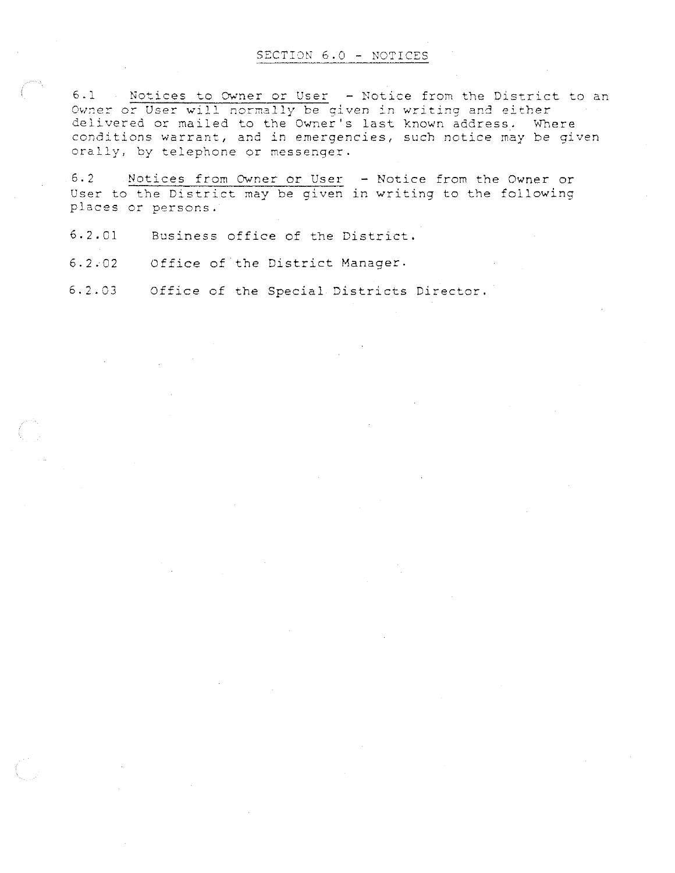#### SECTION 6.0 - NOTICES

Owner or User will normally be given in writing and either **delivered or mailed to the Owner <sup>1</sup> S last**  known address. wnere **conditions warrant, and in emergencies,**  such notice may be given orally, by telephone or messenger.

6.2 Notices from Owner or User - Notice from the Owner or User to the District may be given in writing to the following places or persons.

6.2.01 Business office of the District.

6.2.02 Office of the District Manager.

**6.2.03** Office of the Special Districts Director.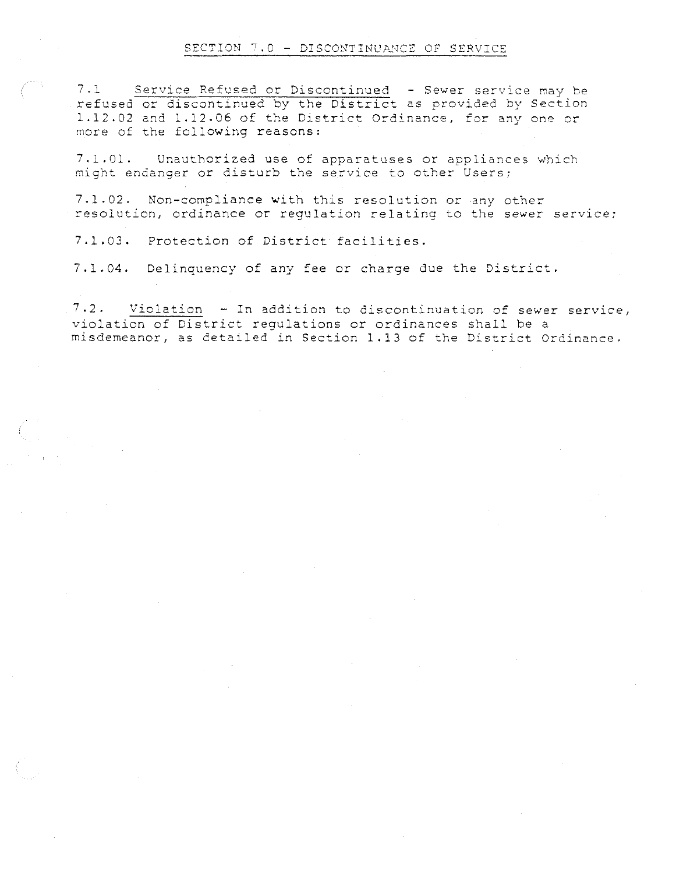#### SECTION 7.0 - DISCONTINUANCE OF SERVICE

**7.1 Service Refused or Discontinued - Sewer service may be**  refused or discontinued by the District as provided by Section 1.12.02 and 1.12.06 of the District Ordinance, for any one or more of the following reasons:

7.1.01. Unauthorized use of apparatuses or appliances which **might endanger or disturb the service to other Users;** 

7.1.02. Non-compliance with this resolution or any other **resolution, ordinance or regulation relating to the sewer service;** 

7.1.03. Protection of District facilities.

7 .1 . 04. Delinquency of any fee or charge due the District.

 $7.2.$  Violation - In addition to discontinuation of sewer service, violation of District regulations or ordinances shall be a misdemeanor, as detailed in Section 1.13 of the District Ordinance.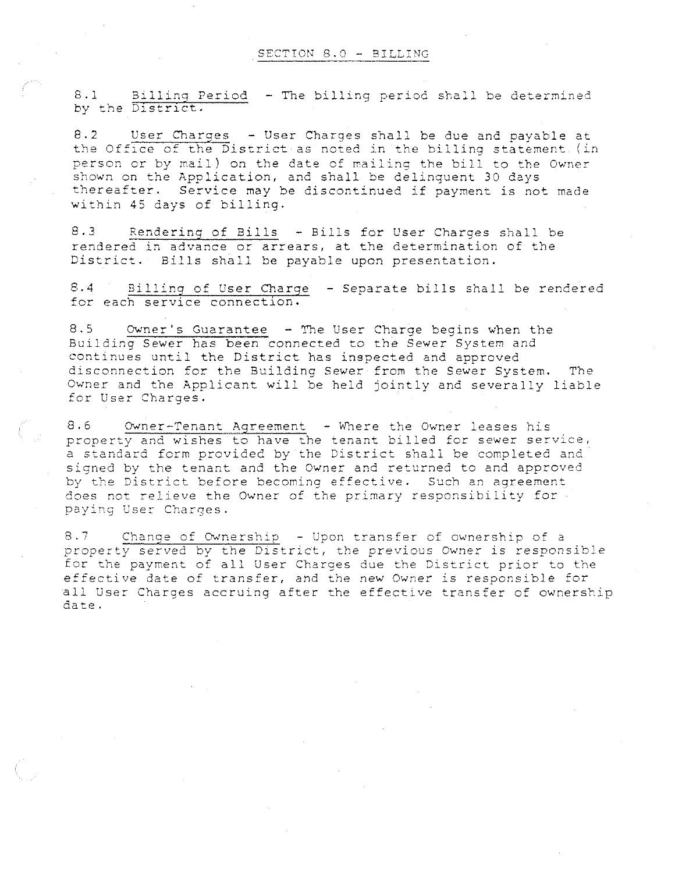**8.1 Billino Period** - **The billing period shall be determined**  by the Dlstrlct.

8.2 User Charges - User Charges shall be due and payable at the Office of the District as noted in the billing statement. (in person or by mail) on the date of mailing the bill to the Owner shown on the Application, and shall be delinquent 30 days thereafter. Service may be discontinued if payment is not made within 45 days of billing.

8.3 Rendering of Bills - Bills for User Charges shall be rendered in advance or arrears, at the determination of the District. Bills shall be payable upon presentation.

8.4 Billing of User Charge - Separate bills shall be rendered for each service connection.

8.5 Owner's Guarantee - The User Charge begins when the Building Sewer has been connected to the Sewer System and continues until the District has inspected and approved disconnection for the Building Sewer from the Sewer System. The Owner and the Applicant will be held jointly and severally liable for User Charges.

8.6 Owner-Tenant Agreement - Where the Owner leases his property and wishes to have the tenant billed for sewer service, a standard form provided by the District shall be completed and signed by the tenant and the Owner and returned to and approved by the District before becoming effective. Such an agreement does not relieve the Owner of the primary responsibility for **paying User Charges.** 

8.7 Change of Ownership - Upon transfer of ownership of a **property served by the District, the previous Owner is responsible**  for the payment of all User Charges due the District prior to the **effective date of transfer, and the new Owner is responsible for**  all User Charges accruing after the effective transfer of ownership date.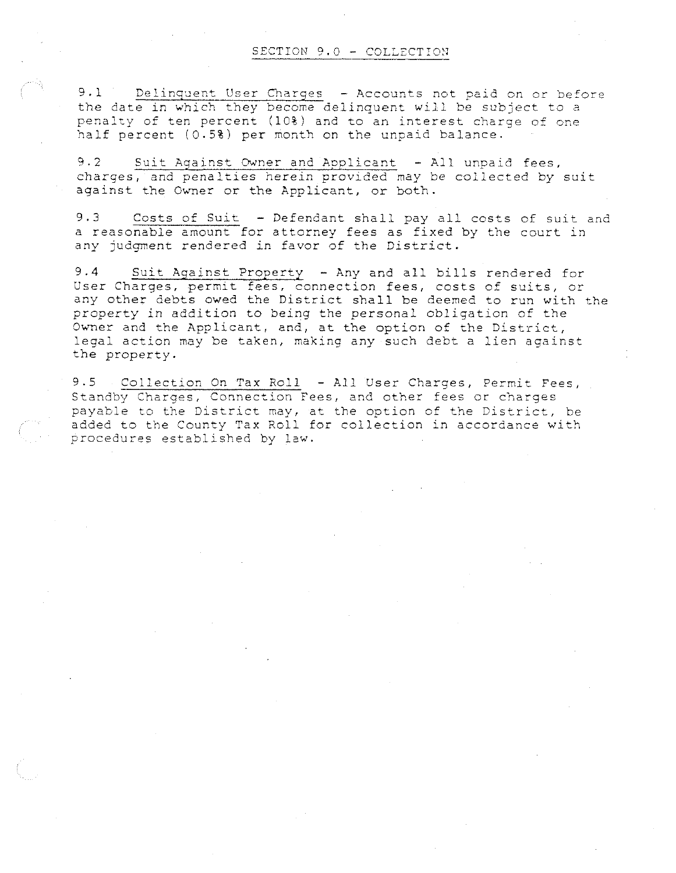9.1 Delinquent User Charges - Accounts not paid on or before the date in which they become delinquent will be subject to a penalty of ten percent (10%) and to an interest charge of one half percent (0.5%) per month on the unpaid balance.

9.2 Suit Against Owner and Applicant - All unpaid fees, charges, and penalties herein provided may be collected by suit against the Owner or the Applicant, or both.

9.3 Costs of Suit - Defendant shall pay all costs of suit and a reasonable amount for attorney fees as fixed by the court in any judgment rendered in favor of the District.

9.4 Suit Against Property - Any and all bills rendered for User Charges, permit fees, connection fees, costs of suits, or any other debts owed the District shall be deemed to run with the property in addition to being the personal obligation of the Owner and the Applicant, and, at the option of the District, legal action may be taken, making any such debt a lien against the property.

9.5 Collection On Tax Roll -All User Charges, Permit Fees, **Standby Charges, Connection Fees, and other fees** *or* **charges**  payable to the District may, at the option of the District, be added to the County Tax Roll for collection in accordance with procedures established by law.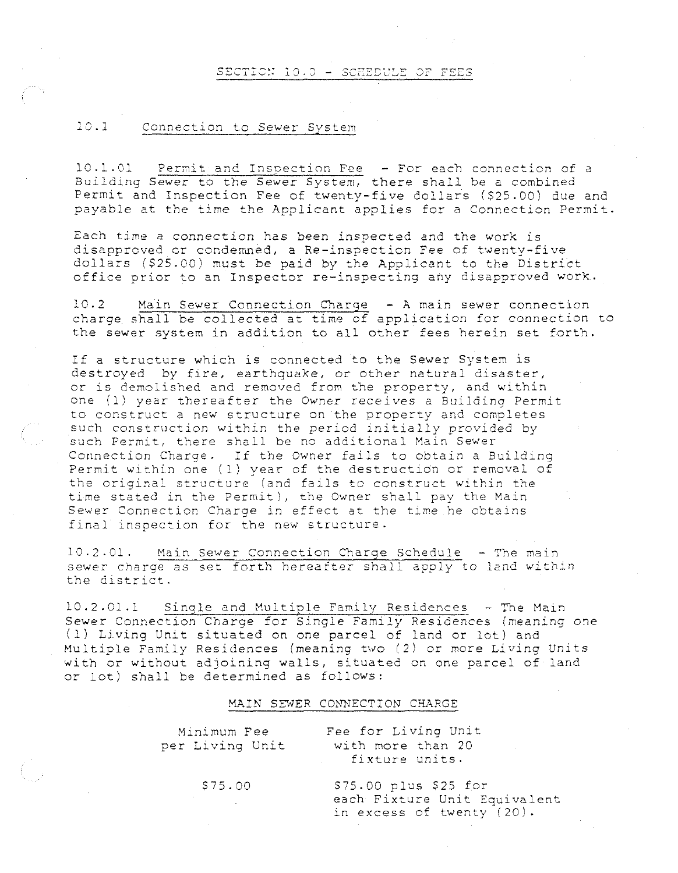#### SECTION 10.0 - SCHEDULE OF FEES

#### $10.1$ **Connection to Sewer System**

**10.1.01 Permit and** I~soection **Fee -For each connection of a**  Building Sewer to the Sewer System, there shall be a combined Permit and Inspection Fee of twenty-five dollars (\$25.00) due and payable at the time the Applicant applies for a Connection Permit.

Each time a connection has been inspected and the work is disapproved or condemned, a Re-inspection Fee of twenty-five dollars (\$25.00) must be paid by the Applicant to the District office prior to an Inspector re-inspecting any disapproved work.

10.2 Main Sewer Connection Charge - A main sewer connection charge shall be collected at time of application for connection to the sewer system in addition to all other fees herein set forth.

If a structure which is connected to the Sewer System is destroyed by fire, earthquake, or other natural disaster, or is demolished and removed from the property, and within **one (l) year thereafter the Owner** *receives* **a Building Permit**  to construct a new structure on the property and completes such construction within the period initially provided by **such Permit, there shall be no additional Main Sewer**  Connection Charge. If the Owner fails to obtain a Building Permit within one (1) year of the destructidn or removal of **the original structure (and fails to construct within the time stated in the Permit), the Owner shall pay the Main Sewer Connection Charge in effect at the time he obtains**  final inspection for the new structure.

10.2.01. Main Sewer Connection Charge Schedule - The main **sewer charge as set forth hereafter shall apply to land within the district.** 

 $10.2.01.1$  Single and Multiple Family Residences - The Main Sewer Connection Charge for Single Family Residences (meaning one (1) LJ.ving Unit situated on one parcel of land or lot) and Multiple Family Residences (meaning *two (2)* or more Living Units with or without adjoining walls, situated on one parcel of land or lot) shall be determined as follows:

#### MAIN SEWER CONNECTION CHARGE

| Minimum Fee<br>per Living Unit | Fee for Living Unit<br>with more than 20<br>fixture units.                           |
|--------------------------------|--------------------------------------------------------------------------------------|
| \$75.00                        | $$75.00$ plus $$25$ for<br>each Fixture Unit Equivalent<br>in excess of twenty (20). |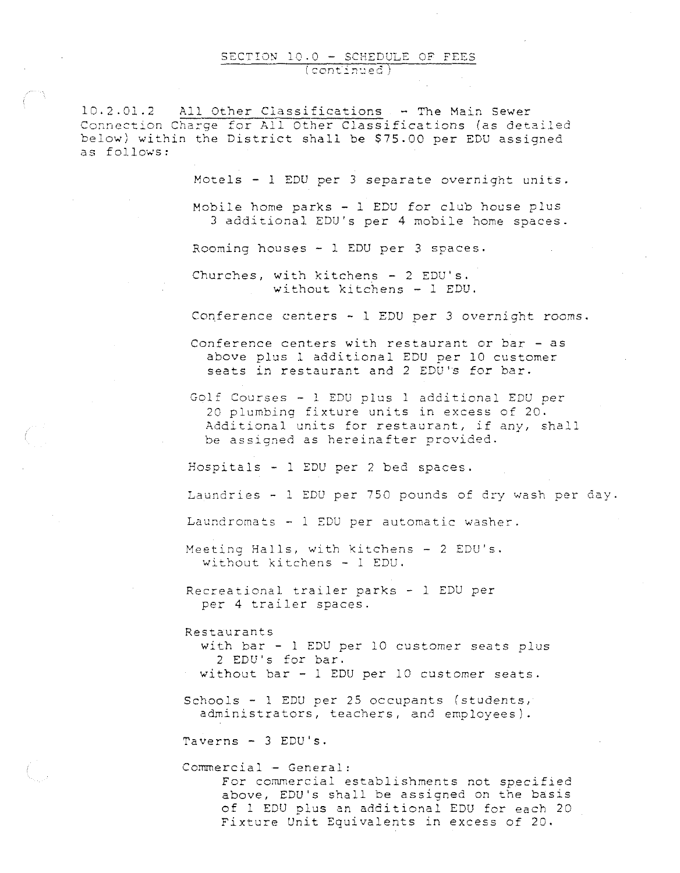# SECTION 10.0 - SCHEDULE OF FEES

10.2.01.2 All Other Classifications - The Main Sewer Connection Charge for All Other Classifications (as detailed below) within the District shall be \$75.00 per EDU assigned as follows:

Motels - l EDU per 3 separate overnight units.

Mobile home parks - 1 EDU for club house plus 3 additional EDU's per 4 mobile home spaces.

Rooming houses - 1 EDU per 3 spaces.

Churches, with kitchens - 2 EDU's. without kitchens - 1 EDU.

Conference centers - l EDU per 3 overnight rooms.

Conference centers with restaurant or bar - as above plus 1 additional EDU per 10 customer seats in restaurant and 2 EDU's for bar.

Golf Courses - l EDU plus 1 additional EDU per 20 plumbing fixture units in excess of 20 . Additional units for restaurant, if any, shall be assigned as hereinafter provided.

Hospitals - 1 EDU per 2 bed spaces.

Laundries - l EDU per 750 pounds of dry wash per day.

**Laundromats** - 1 **EDU per automatic washer.** 

Meeting Halls, with kitchens - 2 EDU's. without kitchens - 1 EDU.

Recreational trailer parks - 1 EDU per per 4 trailer spaces.

Restaurants

with bar - l EDU per 10 customer seats plus 2 EDU's for bar. without bar - 1 EDU per 10 customer seats.

 $Schools - 1 EDU per 25 occupants (students,  $1$$ administrators, teachers, and employees).

Taverns - 3 EDU's.

Commercial -General: For commercial establishments not specified above, EDU's shall be assigned on the basis of 1 EDU plus an additional EDU for each 20 Fixture Unit Equivalents in excess of 20.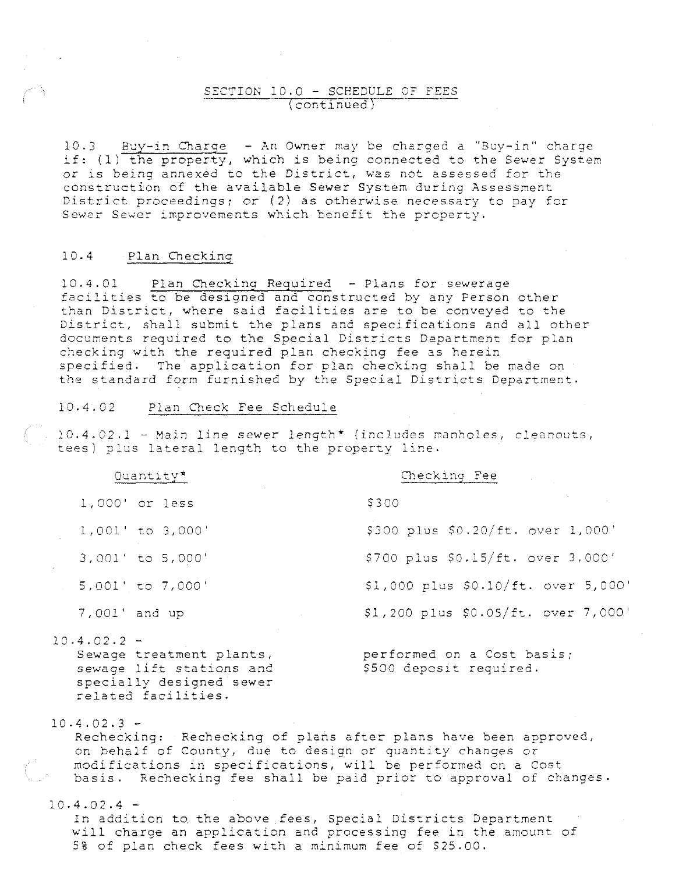#### SECTION 10.0 - SCHEDULE OF FEES (continued)

10.3 Buy-in Charge - An Owner may be charged a "Buy-in" charge if: (1) the property, which is being connected to the Sewer System **or is being annexed to the District, was not assessed for the**  construction of the available Sewer System during Assessment District proceedings; *or* (2) as otherwise necessary to pay for Sewer Sewer improvements which benefit the property.

#### 10.4 Plan Checking

10.4.01 Plan Checking Required - Plans for sewerage facilities to be designed and constructed by any Person other than District, where said facilities are to be conveyed to the District, shall submit the plans and specifications and all other documents required to the Special Districts Department for plan checking with the required plan checking fee as herein specified. The application for plan checking shall be made on the standard form furnished by the Special Districts Department.

#### 10.4.02 Plan Check Fee Schedule

**10.4.02.1 -Main line sewer length\* (includes manholes, cleanouts/**  tees) plus lateral length to the property line.

| Quantity*                                                                                                                | Checking Fee<br><b>Contract Contract</b>              |
|--------------------------------------------------------------------------------------------------------------------------|-------------------------------------------------------|
| 1,000' or less                                                                                                           | \$300                                                 |
| 1,001' to 3,000'                                                                                                         | \$300 plus \$0.20/ft. over 1,000'                     |
| 3,001' to 5,000'                                                                                                         | \$700 plus \$0.15/ft. over 3,000'                     |
| 5,001' to 7,000'                                                                                                         | \$1,000 plus \$0.10/ft. over 5,000'                   |
| 7,001' and up<br>$\sim 10^{11}$ km s $^{-1}$                                                                             | \$1,200 plus \$0.05/ft. over 7,000'                   |
| $10.4.02.2$ -<br>Sewage treatment plants,<br>sewage lift stations and<br>specially designed sewer<br>related facilities. | performed on a Cost basis;<br>\$500 deposit required. |

 $10.4.02.3 -$ 

Rechecking: Rechecking of plans after plans have been approved, on behalf of County, due to design or quantity changes or modifications in specifications, will be performed on a Cost basis. Rechecking fee shall be paid prior to approval of changes.

 $10.4.02.4 -$ 

In addition to the above fees, Special Districts Department **will charge an application and processing fee in the amount of**  5% of plan check fees with a minimum fee of \$25.00.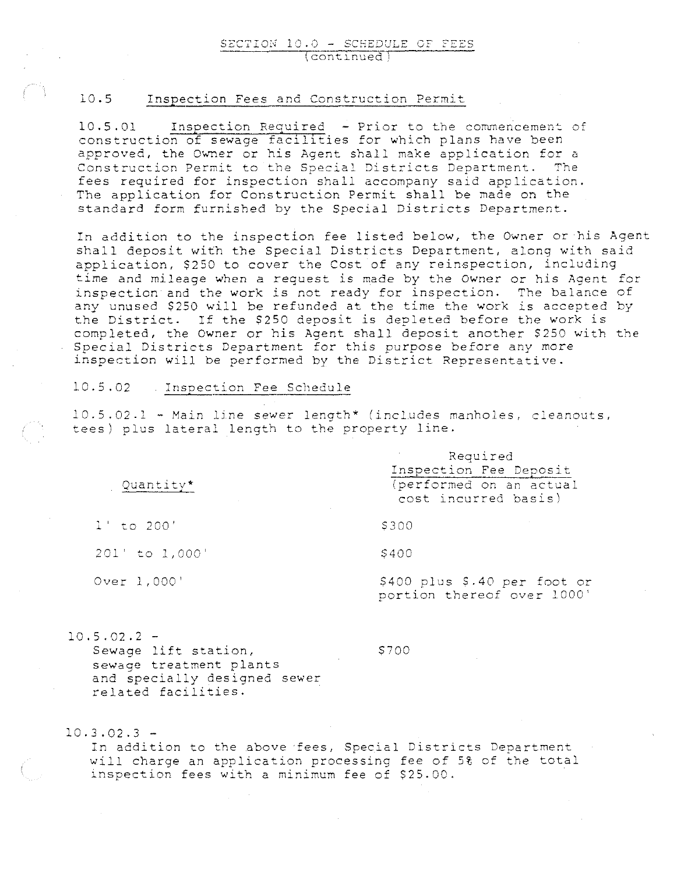#### SECTION 10.0 - SCHEDULE OF FEES **\contlnued,**

#### 10.5 Inspection Fees and Construction Permit

 $10.5.01$  Inspection Required - Prior to the commencement of construction of sewage faclllties for which plans have been approved, the Owner or his Agent shall make application for a Construction Permit to the Special Districts Department. The fees required for inspection shall accompany said application. The application for Construction Permit shall be made on the standard form furnished by the Special Districts Department.

In addition to the inspection fee listed below, the Owner or his Agent shall deposit with the Special Districts Department, along with said application, \$250 to cover the Cost of any reinspection, including time and mileage when a request is made by the Owner or his Agent for inspection and the work is not ready for inspection. The balance of any unused \$250 will be refunded at the time the work is accepted by the District. If the \$250 deposit is depleted before the work is completed, the Owner or his Agent shall deposit another \$250 with the Special Districts Department for this purpose before any more inspection will be performed by the District Representative.

#### 10.5.02 Inspection Fee Schedule

10.5.02.1 - Main line sewer length\* (includes manholes, cleanouts, tees) plus lateral length to the property line.

|                                                | Reduited                                                   |  |  |
|------------------------------------------------|------------------------------------------------------------|--|--|
|                                                | Inspection Fee Deposit                                     |  |  |
| Quantity*<br>the control of the control of the | (performed on an actual<br>cost incurred basis)            |  |  |
| $1'$ to 200'                                   | \$300                                                      |  |  |
| $201'$ to $1,000'$                             | S400                                                       |  |  |
| Over 1,000'                                    | \$400 plus \$.40 per foot or<br>portion thereof over 1000' |  |  |

 $10.5.02.2 -$ 

Sewage lift station, sewage treatment plants and specially designed sewer **related facilities.** 

\$700

Required

 $10.3.02.3 -$ 

In addition to the above fees, Special Districts Department will charge an application processing fee of 5% of the total inspection fees with a minimum fee of \$25.00.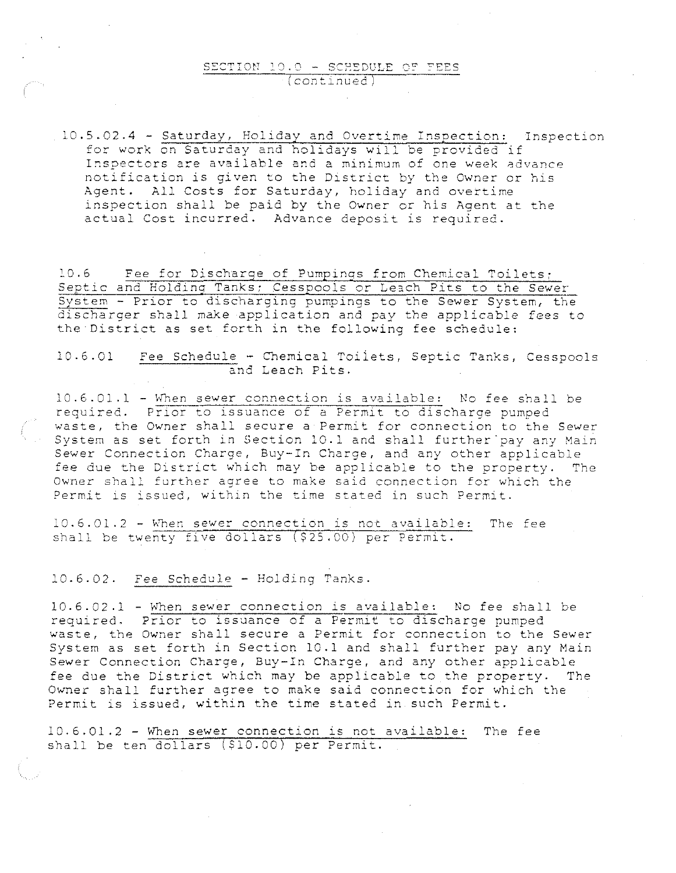#### SECTION 10.0 - SCHEDULE OF FEES **(continued**

10.5.02.4 -Saturday, Holiday and Overtime Insoection: Inspection for work on Saturday and holidays will be provided if **Inspectors are available and a minimum of one week advance**  notification is given to the District by the Owner or his Agent. All Costs for Saturday, holiday and overtime inspection shall be paid by the Owner or his Agent at the actual Cost incurred. Advance deposit is required.

10.6 Fee for Discharge of Pumpings from Chemical Toilets; Septic and Holding Tanks; Cesspools or Leach Pits to the Sewer Svstem - Prior to discharging pumpings to the Sewer System, the discharger shall make application and pay the applicable fees to the District as set forth in the following fee schedule:

10.6.01 Fee Schedule - Chemical Toilets, Septic Tanks, Cesspools and Leach Pits.

10.6.01.1- When sewer connection is available: No fee shall be required. Prior to issuance of a Permit to discharge pumped **waste, the Owner shall secure a Permit for connection to the Sewer**  System as set forth in Section 10.1 and shall further pay any Main Sewer Connection Charge, Buy-In Charge, and any other applicable fee due the District which may be applicable to the property. The **Owner shall further agree to make said connection for which the**  Permit is issued, within the time stated in such Permit.

**10.6.01.2-** ~'hen **sewer connection is not available: The fee**  shall be twenty five dollars  $($ \$25.00) per Permit.

10.6.02. Fee Schedule - Holding Tanks.

10.6.02.1 -When sewer connection is available: No fee shall be required, Prior to issuance of a Permit to discharge pumped waste, the Owner shall secure a Permit for connection to the Sewer System as set forth in Section 10.1 and shall further pay any Main Sewer Connection Charge, Buy-In Charge, and any other applicable fee due the District which may be applicable to the property. The Owner shall further agree to make said connection for which the Permit is issued, within the time stated in such Permit.

10.6.01.2 - wnen sewer connection is not available: The fee shall be ten dollars (\$10.00) per Permit.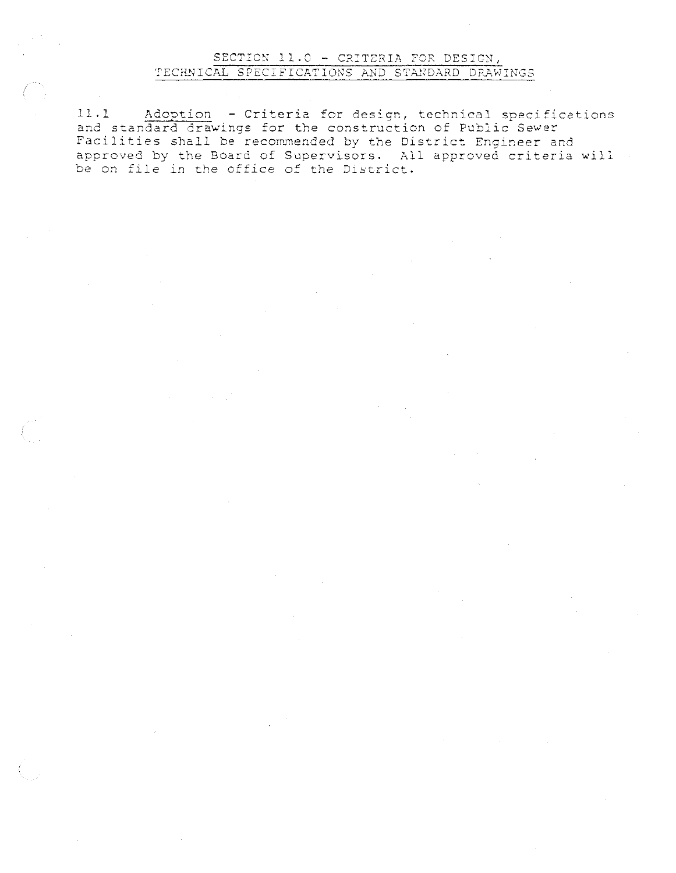## SECTION  $11.0$  - CRITERIA FOR DESIGN, TECHNICAL SPECIFICATIONS AND STANDARD DRAWINGS

11.1 Adoption -Criteria for design, technical specifications and standard drawings for the construction of Public Sewer Facilities shall be recommended by the District Engineer and approved by the Board of Supervisors. All approved criteria will be on file in the office of the District.